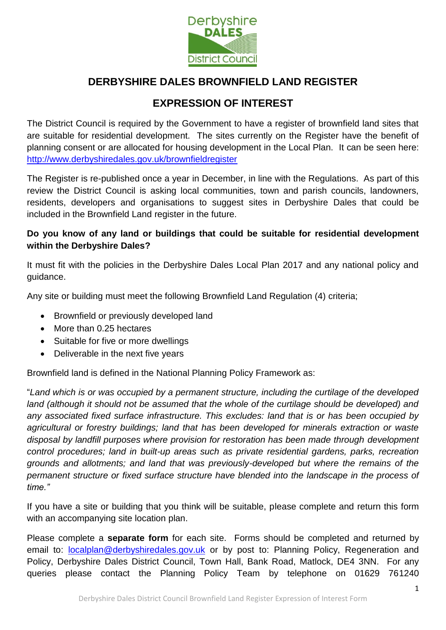

# **DERBYSHIRE DALES BROWNFIELD LAND REGISTER**

# **EXPRESSION OF INTEREST**

The District Council is required by the Government to have a register of brownfield land sites that are suitable for residential development. The sites currently on the Register have the benefit of planning consent or are allocated for housing development in the Local Plan. It can be seen here: <http://www.derbyshiredales.gov.uk/brownfieldregister>

The Register is re-published once a year in December, in line with the Regulations. As part of this review the District Council is asking local communities, town and parish councils, landowners, residents, developers and organisations to suggest sites in Derbyshire Dales that could be included in the Brownfield Land register in the future.

### **Do you know of any land or buildings that could be suitable for residential development within the Derbyshire Dales?**

It must fit with the policies in the Derbyshire Dales Local Plan 2017 and any national policy and guidance.

Any site or building must meet the following Brownfield Land Regulation (4) criteria;

- Brownfield or previously developed land
- More than 0.25 hectares
- Suitable for five or more dwellings
- Deliverable in the next five years

Brownfield land is defined in the National Planning Policy Framework as:

"*Land which is or was occupied by a permanent structure, including the curtilage of the developed*  land (although it should not be assumed that the whole of the curtilage should be developed) and *any associated fixed surface infrastructure. This excludes: land that is or has been occupied by agricultural or forestry buildings; land that has been developed for minerals extraction or waste disposal by landfill purposes where provision for restoration has been made through development control procedures; land in built-up areas such as private residential gardens, parks, recreation grounds and allotments; and land that was previously-developed but where the remains of the permanent structure or fixed surface structure have blended into the landscape in the process of time."*

If you have a site or building that you think will be suitable, please complete and return this form with an accompanying site location plan.

Please complete a **separate form** for each site. Forms should be completed and returned by email to: [localplan@derbyshiredales.gov.uk](mailto:localplan@derbyshiredales.gov.uk) or by post to: Planning Policy, Regeneration and Policy, Derbyshire Dales District Council, Town Hall, Bank Road, Matlock, DE4 3NN. For any queries please contact the Planning Policy Team by telephone on 01629 761240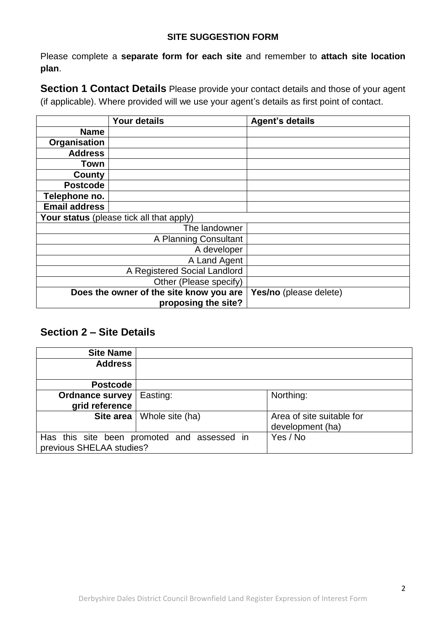#### **SITE SUGGESTION FORM**

Please complete a **separate form for each site** and remember to **attach site location plan**.

**Section 1 Contact Details** Please provide your contact details and those of your agent (if applicable). Where provided will we use your agent's details as first point of contact.

|                      | Your details                             | <b>Agent's details</b> |
|----------------------|------------------------------------------|------------------------|
| <b>Name</b>          |                                          |                        |
| Organisation         |                                          |                        |
| <b>Address</b>       |                                          |                        |
| Town                 |                                          |                        |
| County               |                                          |                        |
| <b>Postcode</b>      |                                          |                        |
| Telephone no.        |                                          |                        |
| <b>Email address</b> |                                          |                        |
|                      | Your status (please tick all that apply) |                        |
|                      | The landowner                            |                        |
|                      | A Planning Consultant                    |                        |
|                      | A developer                              |                        |
|                      | A Land Agent                             |                        |
|                      | A Registered Social Landlord             |                        |
|                      | Other (Please specify)                   |                        |
|                      | Does the owner of the site know you are  | Yes/no (please delete) |
|                      | proposing the site?                      |                        |

## **Section 2 – Site Details**

| <b>Site Name</b>                         |                                             |                                               |
|------------------------------------------|---------------------------------------------|-----------------------------------------------|
| <b>Address</b>                           |                                             |                                               |
| <b>Postcode</b>                          |                                             |                                               |
| <b>Ordnance survey</b><br>grid reference | Easting:                                    | Northing:                                     |
| Site area                                | Whole site (ha)                             | Area of site suitable for<br>development (ha) |
| previous SHELAA studies?                 | Has this site been promoted and assessed in | Yes / No                                      |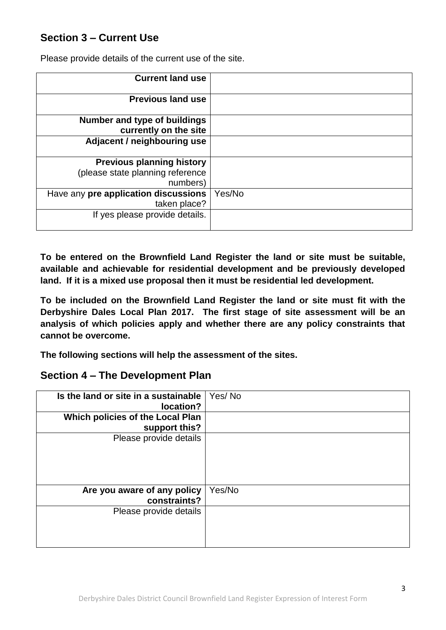# **Section 3 – Current Use**

Please provide details of the current use of the site.

| <b>Current land use</b>              |        |
|--------------------------------------|--------|
| <b>Previous land use</b>             |        |
| <b>Number and type of buildings</b>  |        |
| currently on the site                |        |
| Adjacent / neighbouring use          |        |
| <b>Previous planning history</b>     |        |
| (please state planning reference     |        |
| numbers)                             |        |
| Have any pre application discussions | Yes/No |
| taken place?                         |        |
| If yes please provide details.       |        |

**To be entered on the Brownfield Land Register the land or site must be suitable, available and achievable for residential development and be previously developed land. If it is a mixed use proposal then it must be residential led development.** 

**To be included on the Brownfield Land Register the land or site must fit with the Derbyshire Dales Local Plan 2017. The first stage of site assessment will be an analysis of which policies apply and whether there are any policy constraints that cannot be overcome.**

**The following sections will help the assessment of the sites.**

## **Section 4 – The Development Plan**

| Is the land or site in a sustainable<br>location? | Yes/No |
|---------------------------------------------------|--------|
| Which policies of the Local Plan                  |        |
| support this?                                     |        |
| Please provide details                            |        |
| Are you aware of any policy<br>constraints?       | Yes/No |
| Please provide details                            |        |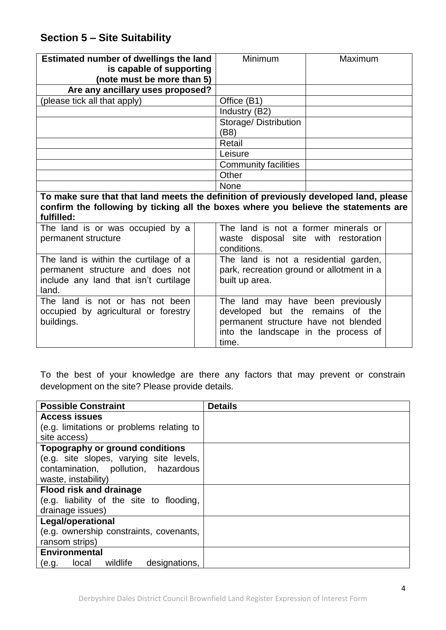# **Section 5 – Site Suitability**

include any land that isn't curtilage

The land is not or has not been occupied by agricultural or forestry

land.

buildings.

| Estimated number of dwellings the land<br>is capable of supporting<br>(note must be more than 5)                                                                                           | Minimum                                                                            | Maximum |  |
|--------------------------------------------------------------------------------------------------------------------------------------------------------------------------------------------|------------------------------------------------------------------------------------|---------|--|
| Are any ancillary uses proposed?                                                                                                                                                           |                                                                                    |         |  |
| (please tick all that apply)                                                                                                                                                               | Office (B1)                                                                        |         |  |
|                                                                                                                                                                                            | Industry (B2)                                                                      |         |  |
|                                                                                                                                                                                            | Storage/Distribution<br>(B8)                                                       |         |  |
|                                                                                                                                                                                            | Retail                                                                             |         |  |
|                                                                                                                                                                                            | Leisure                                                                            |         |  |
|                                                                                                                                                                                            | <b>Community facilities</b>                                                        |         |  |
|                                                                                                                                                                                            | Other                                                                              |         |  |
|                                                                                                                                                                                            | <b>None</b>                                                                        |         |  |
| To make sure that that land meets the definition of previously developed land, please<br>confirm the following by ticking all the boxes where you believe the statements are<br>fulfilled: |                                                                                    |         |  |
| The land is or was occupied by a<br>permanent structure                                                                                                                                    | The land is not a former minerals or<br>waste disposal site with restoration       |         |  |
|                                                                                                                                                                                            | conditions.                                                                        |         |  |
| The land is within the curtilage of a<br>permanent structure and does not                                                                                                                  | The land is not a residential garden,<br>park, recreation ground or allotment in a |         |  |

To the best of your knowledge are there any factors that may prevent or constrain development on the site? Please provide details.

time.

built up area.

The land may have been previously developed but the remains of the permanent structure have not blended into the landscape in the process of

| <b>Possible Constraint</b>                | <b>Details</b> |
|-------------------------------------------|----------------|
| <b>Access issues</b>                      |                |
| (e.g. limitations or problems relating to |                |
| site access)                              |                |
| Topography or ground conditions           |                |
| (e.g. site slopes, varying site levels,   |                |
| contamination, pollution, hazardous       |                |
| waste, instability)                       |                |
| <b>Flood risk and drainage</b>            |                |
| (e.g. liability of the site to flooding,  |                |
| drainage issues)                          |                |
| <b>Legal/operational</b>                  |                |
| (e.g. ownership constraints, covenants,   |                |
| ransom strips)                            |                |
| <b>Environmental</b>                      |                |
| local wildlife<br>designations.<br>(e.g.  |                |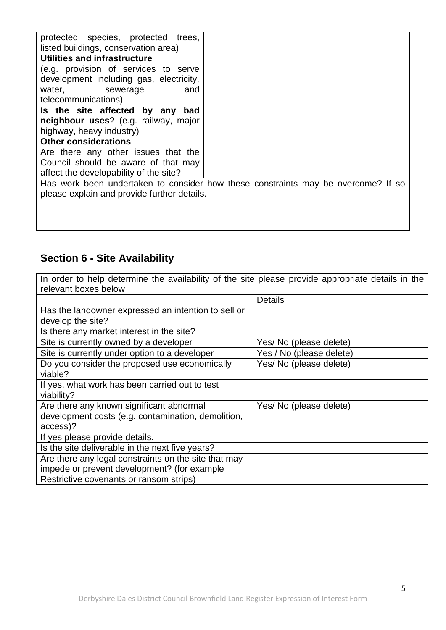| protected species, protected<br>trees,      |                                                                                   |
|---------------------------------------------|-----------------------------------------------------------------------------------|
| listed buildings, conservation area)        |                                                                                   |
| Utilities and infrastructure                |                                                                                   |
| (e.g. provision of services to serve        |                                                                                   |
| development including gas, electricity,     |                                                                                   |
| water, sewerage<br>and                      |                                                                                   |
| telecommunications)                         |                                                                                   |
| Is the site affected by any<br>bad          |                                                                                   |
| neighbour uses? (e.g. railway, major        |                                                                                   |
| highway, heavy industry)                    |                                                                                   |
| <b>Other considerations</b>                 |                                                                                   |
| Are there any other issues that the         |                                                                                   |
| Council should be aware of that may         |                                                                                   |
| affect the developability of the site?      |                                                                                   |
|                                             | Has work been undertaken to consider how these constraints may be overcome? If so |
| please explain and provide further details. |                                                                                   |
|                                             |                                                                                   |
|                                             |                                                                                   |

# **Section 6 - Site Availability**

In order to help determine the availability of the site please provide appropriate details in the relevant boxes below

|                                                      | <b>Details</b>           |
|------------------------------------------------------|--------------------------|
| Has the landowner expressed an intention to sell or  |                          |
| develop the site?                                    |                          |
| Is there any market interest in the site?            |                          |
| Site is currently owned by a developer               | Yes/ No (please delete)  |
| Site is currently under option to a developer        | Yes / No (please delete) |
| Do you consider the proposed use economically        | Yes/ No (please delete)  |
| viable?                                              |                          |
| If yes, what work has been carried out to test       |                          |
| viability?                                           |                          |
| Are there any known significant abnormal             | Yes/ No (please delete)  |
| development costs (e.g. contamination, demolition,   |                          |
| access)?                                             |                          |
| If yes please provide details.                       |                          |
| Is the site deliverable in the next five years?      |                          |
| Are there any legal constraints on the site that may |                          |
| impede or prevent development? (for example          |                          |
| Restrictive covenants or ransom strips)              |                          |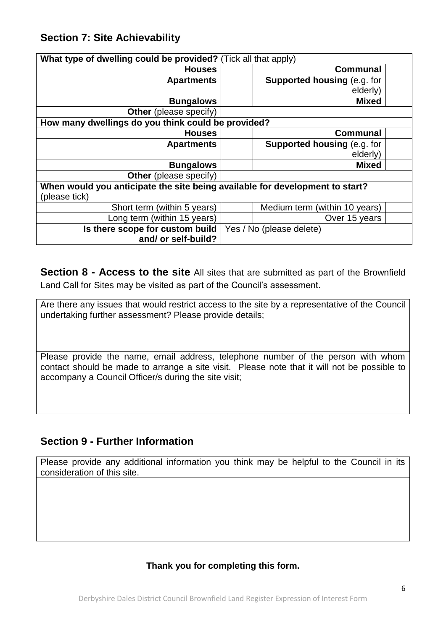## **Section 7: Site Achievability**

| What type of dwelling could be provided? (Tick all that apply)               |  |                                    |  |
|------------------------------------------------------------------------------|--|------------------------------------|--|
| <b>Houses</b>                                                                |  | <b>Communal</b>                    |  |
| <b>Apartments</b>                                                            |  | <b>Supported housing (e.g. for</b> |  |
|                                                                              |  | elderly)                           |  |
| <b>Bungalows</b>                                                             |  | <b>Mixed</b>                       |  |
| <b>Other</b> (please specify)                                                |  |                                    |  |
| How many dwellings do you think could be provided?                           |  |                                    |  |
| <b>Houses</b>                                                                |  | <b>Communal</b>                    |  |
| <b>Apartments</b>                                                            |  | <b>Supported housing (e.g. for</b> |  |
|                                                                              |  | elderly)                           |  |
| <b>Bungalows</b>                                                             |  | <b>Mixed</b>                       |  |
| <b>Other</b> (please specify)                                                |  |                                    |  |
| When would you anticipate the site being available for development to start? |  |                                    |  |
| (please tick)                                                                |  |                                    |  |
| Short term (within 5 years)                                                  |  | Medium term (within 10 years)      |  |
| Long term (within 15 years)                                                  |  | Over 15 years                      |  |
| Is there scope for custom build                                              |  | Yes / No (please delete)           |  |
| and/ or self-build?                                                          |  |                                    |  |

**Section 8 - Access to the site** All sites that are submitted as part of the Brownfield Land Call for Sites may be visited as part of the Council's assessment.

Are there any issues that would restrict access to the site by a representative of the Council undertaking further assessment? Please provide details;

Please provide the name, email address, telephone number of the person with whom contact should be made to arrange a site visit. Please note that it will not be possible to accompany a Council Officer/s during the site visit;

## **Section 9 - Further Information**

Please provide any additional information you think may be helpful to the Council in its consideration of this site.

### **Thank you for completing this form.**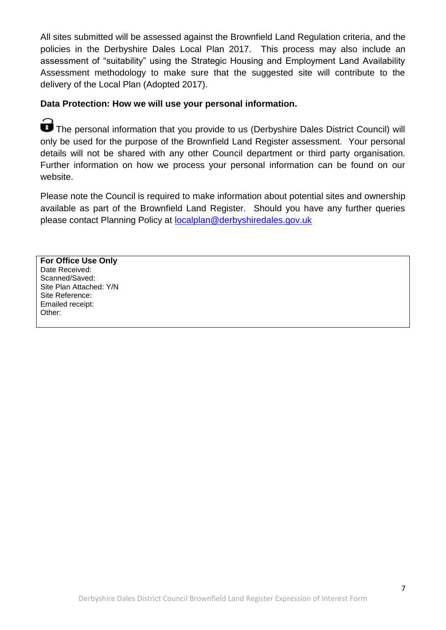All sites submitted will be assessed against the Brownfield Land Regulation criteria, and the policies in the Derbyshire Dales Local Plan 2017. This process may also include an assessment of "suitability" using the Strategic Housing and Employment Land Availability Assessment methodology to make sure that the suggested site will contribute to the delivery of the Local Plan (Adopted 2017).

### **Data Protection: How we will use your personal information.**

The personal information that you provide to us (Derbyshire Dales District Council) will only be used for the purpose of the Brownfield Land Register assessment. Your personal details will not be shared with any other Council department or third party organisation. Further information on how we process your personal information can be found on our website.

Please note the Council is required to make information about potential sites and ownership available as part of the Brownfield Land Register. Should you have any further queries please contact Planning Policy at [localplan@derbyshiredales.gov.uk](mailto:localplan@derbyshiredales.gov.uk)

**For Office Use Only** Date Received: Scanned/Saved: Site Plan Attached: Y/N Site Reference: Emailed receipt: Other: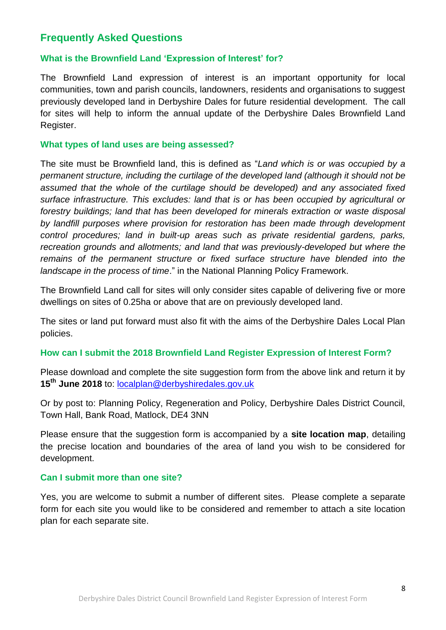## **Frequently Asked Questions**

#### **What is the Brownfield Land 'Expression of Interest' for?**

The Brownfield Land expression of interest is an important opportunity for local communities, town and parish councils, landowners, residents and organisations to suggest previously developed land in Derbyshire Dales for future residential development. The call for sites will help to inform the annual update of the Derbyshire Dales Brownfield Land Register.

#### **What types of land uses are being assessed?**

The site must be Brownfield land, this is defined as "*Land which is or was occupied by a permanent structure, including the curtilage of the developed land (although it should not be assumed that the whole of the curtilage should be developed) and any associated fixed surface infrastructure. This excludes: land that is or has been occupied by agricultural or forestry buildings; land that has been developed for minerals extraction or waste disposal by landfill purposes where provision for restoration has been made through development control procedures; land in built-up areas such as private residential gardens, parks, recreation grounds and allotments; and land that was previously-developed but where the*  remains of the permanent structure or fixed surface structure have blended into the *landscape in the process of time*." in the National Planning Policy Framework.

The Brownfield Land call for sites will only consider sites capable of delivering five or more dwellings on sites of 0.25ha or above that are on previously developed land.

The sites or land put forward must also fit with the aims of the Derbyshire Dales Local Plan policies.

#### **How can I submit the 2018 Brownfield Land Register Expression of Interest Form?**

Please download and complete the site suggestion form from the above link and return it by **15th June 2018** to: [localplan@derbyshiredales.gov.uk](mailto:localplan@derbyshiredales.gov.uk)

Or by post to: Planning Policy, Regeneration and Policy, Derbyshire Dales District Council, Town Hall, Bank Road, Matlock, DE4 3NN

Please ensure that the suggestion form is accompanied by a **site location map**, detailing the precise location and boundaries of the area of land you wish to be considered for development.

#### **Can I submit more than one site?**

Yes, you are welcome to submit a number of different sites. Please complete a separate form for each site you would like to be considered and remember to attach a site location plan for each separate site.